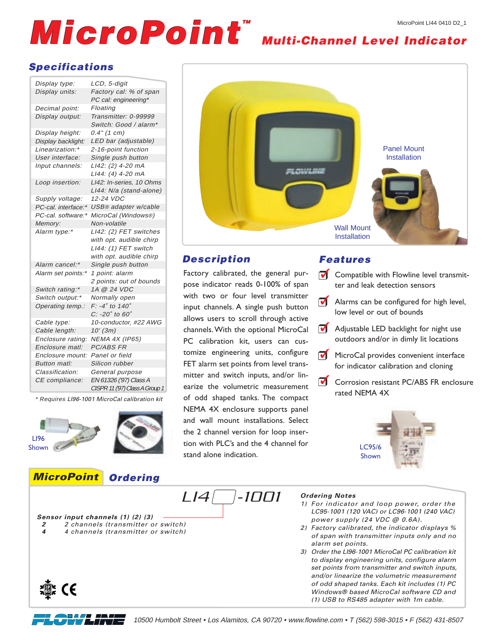# **MicroPoint Multi-Channel Level Indicator**

# **Specifications**

| Display type:                | LCD, 5-digit                      |
|------------------------------|-----------------------------------|
| Display units:               | Factory cal: % of span            |
|                              | PC cal: engineering*              |
| Decimal point:               | Floating                          |
| Display output:              | Transmitter: 0-99999              |
|                              | Switch: Good / alarm*             |
| Display height:              | 0.4" (1 cm)                       |
| Display backlight:           | LED bar (adjustable)              |
| Linearization:*              | 2-16-point function               |
| User interface:              | Single push button                |
| Input channels:              | LI42: (2) 4-20 mA                 |
|                              | LI44: (4) 4-20 mA                 |
| Loop insertion:              | LI42: In-series, 10 Ohms          |
|                              | LI44: N/a (stand-alone)           |
| Supply voltage:              | 12-24 VDC                         |
| PC-cal. interface:*          | USB® adapter w/cable              |
| PC-cal. software:*           | MicroCal (Windows®)               |
| Memory:                      | Non-volatile                      |
| Alarm type:*                 | LI42: (2) FET switches            |
|                              | with opt. audible chirp           |
|                              | LI44: (1) FET switch              |
|                              | with opt. audible chirp           |
| Alarm cancel:*               | Single push button                |
| Alarm set points:*           | 1 point: alarm                    |
|                              | 2 points: out of bounds           |
| Switch rating:*              | 1A @ 24 VDC                       |
| Switch output:*              | Normally open<br>$F: -4°$ to 140° |
| Operating temp.:             | $C: -20°$ to 60°                  |
|                              | 10-conductor, #22 AWG             |
| Cable type:<br>Cable length: | 10'(3m)                           |
| Enclosure rating:            | <b>NEMA 4X (IP65)</b>             |
| Enclosure matl:              | <b>PC/ABS FR</b>                  |
| Enclosure mount:             | Panel or field                    |
| <b>Button matl:</b>          | Silicon rubber                    |
| Classification:              | General purpose                   |
| CE compliance:               | EN 61326 ('97) Class A            |
|                              | CISPR 11 ('97) Class A Group 1    |
|                              |                                   |

\* Requires LI96-1001 MicroCal calibration kit



### **MicroPoint Ordering**



## **Description**

Factory calibrated, the general purpose indicator reads 0-100% of span with two or four level transmitter input channels. A single push button allows users to scroll through active channels.With the optional MicroCal PC calibration kit, users can customize engineering units, configure FET alarm set points from level transmitter and switch inputs, and/or linearize the volumetric measurement of odd shaped tanks. The compact NEMA 4X enclosure supports panel and wall mount installations. Select the 2 channel version for loop insertion with PLC's and the 4 channel for stand alone indication.

 $L14$  -1001

## **Features**

- **T** Compatible with Flowline level transmitter and leak detection sensors
- $\sqrt{\phantom{a}}$  Alarms can be configured for high level, low level or out of bounds
- $\sqrt{\phantom{a}}$  Adjustable LED backlight for night use outdoors and/or in dimly lit locations
- MicroCal provides convenient interface for indicator calibration and cloning
- $\overline{\mathbf{v}}$ Corrosion resistant PC/ABS FR enclosure rated NEMA 4X



 **Sensor input channels (1) (2) (3)**

- **2** 2 channels (transmitter or switch)
- **4** 4 channels (transmitter or switch)

**Ordering Notes**

- 1) For indicator and loop power, order the LC95-1001 (120 VAC) or LC96-1001 (240 VAC) power supply (24 VDC @ 0.6A).
- 2) Factory calibrated, the indicator displays % of span with transmitter inputs only and no alarm set points.
- 3) Order the LI96-1001 MicroCal PC calibration kit to display engineering units, configure alarm set points from transmitter and switch inputs, and/or linearize the volumetric measurement of odd shaped tanks. Each kit includes (1) PC Windows® based MicroCal software CD and (1) USB to RS485 adapter with 1m cable.